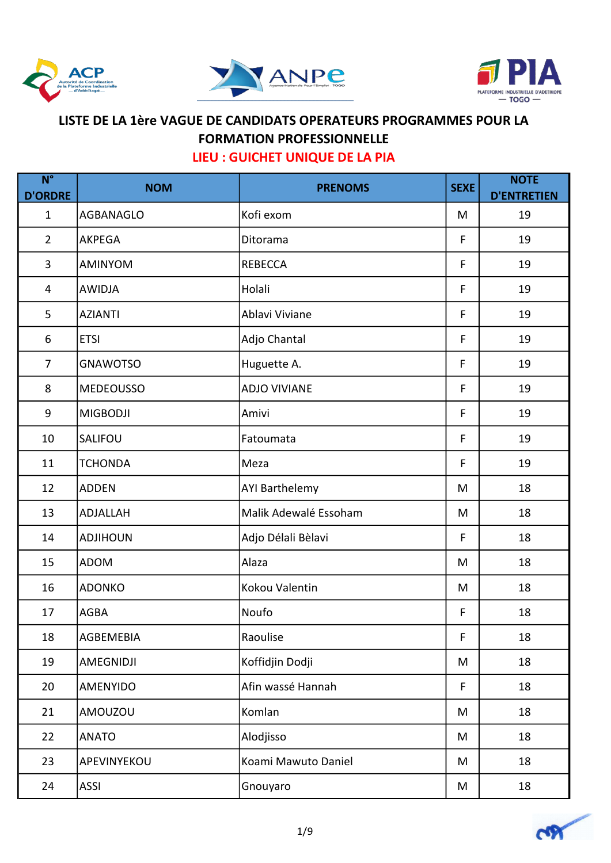





| $N^{\circ}$<br><b>D'ORDRE</b> | <b>NOM</b>       | <b>PRENOMS</b>        | <b>SEXE</b> | <b>NOTE</b><br><b>D'ENTRETIEN</b> |
|-------------------------------|------------------|-----------------------|-------------|-----------------------------------|
| $\mathbf{1}$                  | AGBANAGLO        | Kofi exom             | M           | 19                                |
| $\overline{2}$                | <b>AKPEGA</b>    | Ditorama              | F           | 19                                |
| 3                             | <b>AMINYOM</b>   | <b>REBECCA</b>        | F           | 19                                |
| 4                             | <b>AWIDJA</b>    | Holali                | F           | 19                                |
| 5                             | <b>AZIANTI</b>   | Ablavi Viviane        | F           | 19                                |
| 6                             | <b>ETSI</b>      | Adjo Chantal          | F           | 19                                |
| $\overline{7}$                | <b>GNAWOTSO</b>  | Huguette A.           | F           | 19                                |
| 8                             | <b>MEDEOUSSO</b> | <b>ADJO VIVIANE</b>   | F           | 19                                |
| 9                             | <b>MIGBODJI</b>  | Amivi                 | F           | 19                                |
| 10                            | SALIFOU          | Fatoumata             | F           | 19                                |
| 11                            | <b>TCHONDA</b>   | Meza                  | F           | 19                                |
| 12                            | <b>ADDEN</b>     | <b>AYI Barthelemy</b> | M           | 18                                |
| 13                            | ADJALLAH         | Malik Adewalé Essoham | M           | 18                                |
| 14                            | <b>ADJIHOUN</b>  | Adjo Délali Bèlavi    | F           | 18                                |
| 15                            | <b>ADOM</b>      | Alaza                 | M           | 18                                |
| 16                            | <b>ADONKO</b>    | Kokou Valentin        | M           | 18                                |
| 17                            | <b>AGBA</b>      | Noufo                 | F           | 18                                |
| 18                            | AGBEMEBIA        | Raoulise              | F           | 18                                |
| 19                            | AMEGNIDJI        | Koffidjin Dodji       | M           | 18                                |
| 20                            | <b>AMENYIDO</b>  | Afin wassé Hannah     | F           | 18                                |
| 21                            | <b>AMOUZOU</b>   | Komlan                | M           | 18                                |
| 22                            | <b>ANATO</b>     | Alodjisso             | M           | 18                                |
| 23                            | APEVINYEKOU      | Koami Mawuto Daniel   | M           | 18                                |
| 24                            | <b>ASSI</b>      | Gnouyaro              | M           | 18                                |

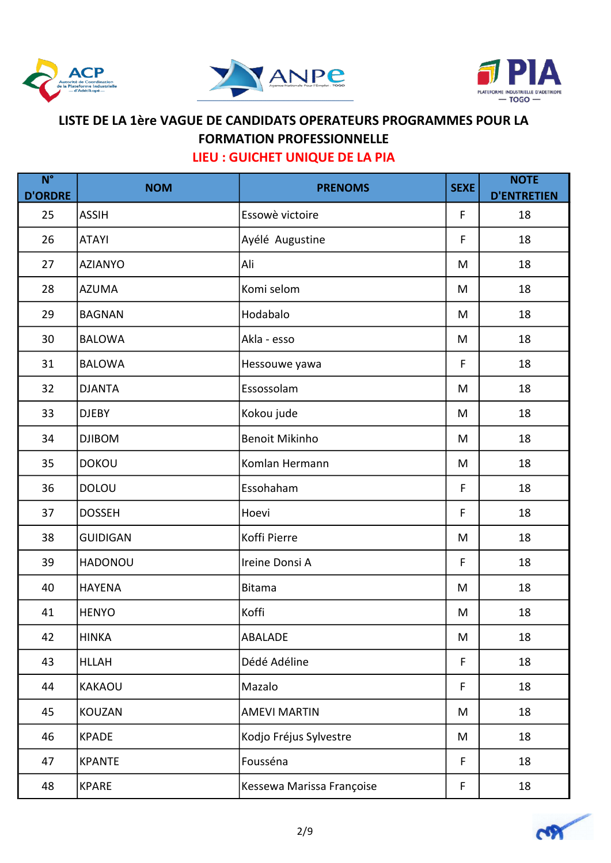





| $N^{\circ}$<br><b>D'ORDRE</b> | <b>NOM</b>      | <b>PRENOMS</b>            | <b>SEXE</b> | <b>NOTE</b><br><b>D'ENTRETIEN</b> |
|-------------------------------|-----------------|---------------------------|-------------|-----------------------------------|
| 25                            | <b>ASSIH</b>    | Essowè victoire           | F           | 18                                |
| 26                            | <b>ATAYI</b>    | Ayélé Augustine           | F           | 18                                |
| 27                            | <b>AZIANYO</b>  | Ali                       | M           | 18                                |
| 28                            | <b>AZUMA</b>    | Komi selom                | M           | 18                                |
| 29                            | <b>BAGNAN</b>   | Hodabalo                  | M           | 18                                |
| 30                            | <b>BALOWA</b>   | Akla - esso               | M           | 18                                |
| 31                            | <b>BALOWA</b>   | Hessouwe yawa             | F           | 18                                |
| 32                            | <b>DJANTA</b>   | Essossolam                | M           | 18                                |
| 33                            | <b>DJEBY</b>    | Kokou jude                | M           | 18                                |
| 34                            | <b>DJIBOM</b>   | <b>Benoit Mikinho</b>     | M           | 18                                |
| 35                            | <b>DOKOU</b>    | Komlan Hermann            | M           | 18                                |
| 36                            | <b>DOLOU</b>    | Essohaham                 | F           | 18                                |
| 37                            | <b>DOSSEH</b>   | Hoevi                     | F           | 18                                |
| 38                            | <b>GUIDIGAN</b> | Koffi Pierre              | M           | 18                                |
| 39                            | <b>HADONOU</b>  | Ireine Donsi A            | F           | 18                                |
| 40                            | <b>HAYENA</b>   | <b>Bitama</b>             | M           | 18                                |
| 41                            | <b>HENYO</b>    | Koffi                     | M           | 18                                |
| 42                            | <b>HINKA</b>    | <b>ABALADE</b>            | M           | 18                                |
| 43                            | <b>HLLAH</b>    | Dédé Adéline              | F           | 18                                |
| 44                            | <b>KAKAOU</b>   | Mazalo                    | F           | 18                                |
| 45                            | <b>KOUZAN</b>   | <b>AMEVI MARTIN</b>       | M           | 18                                |
| 46                            | <b>KPADE</b>    | Kodjo Fréjus Sylvestre    | M           | 18                                |
| 47                            | <b>KPANTE</b>   | Fousséna                  | F           | 18                                |
| 48                            | <b>KPARE</b>    | Kessewa Marissa Françoise | F           | 18                                |

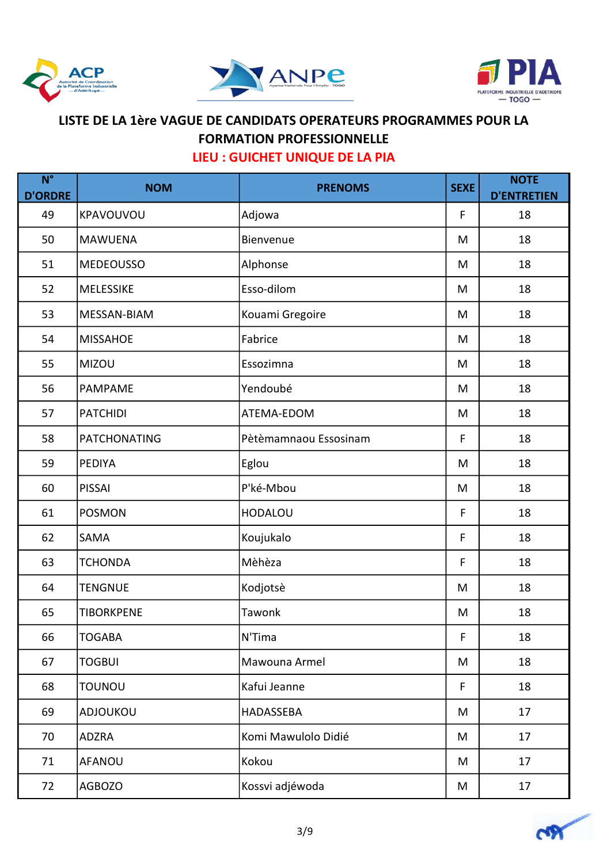





| $N^{\circ}$<br><b>D'ORDRE</b> | <b>NOM</b>          | <b>PRENOMS</b>        | <b>SEXE</b> | <b>NOTE</b><br><b>D'ENTRETIEN</b> |
|-------------------------------|---------------------|-----------------------|-------------|-----------------------------------|
| 49                            | KPAVOUVOU           | Adjowa                | F           | 18                                |
| 50                            | <b>MAWUENA</b>      | Bienvenue             | M           | 18                                |
| 51                            | <b>MEDEOUSSO</b>    | Alphonse              | M           | 18                                |
| 52                            | <b>MELESSIKE</b>    | Esso-dilom            | M           | 18                                |
| 53                            | MESSAN-BIAM         | Kouami Gregoire       | M           | 18                                |
| 54                            | <b>MISSAHOE</b>     | Fabrice               | M           | 18                                |
| 55                            | <b>MIZOU</b>        | Essozimna             | M           | 18                                |
| 56                            | <b>PAMPAME</b>      | Yendoubé              | M           | 18                                |
| 57                            | <b>PATCHIDI</b>     | ATEMA-EDOM            | M           | 18                                |
| 58                            | <b>PATCHONATING</b> | Pètèmamnaou Essosinam | F           | 18                                |
| 59                            | <b>PEDIYA</b>       | Eglou                 | M           | 18                                |
| 60                            | <b>PISSAI</b>       | P'ké-Mbou             | M           | 18                                |
| 61                            | <b>POSMON</b>       | <b>HODALOU</b>        | F           | 18                                |
| 62                            | SAMA                | Koujukalo             | F           | 18                                |
| 63                            | <b>TCHONDA</b>      | Mèhèza                | F           | 18                                |
| 64                            | TENGNUE             | Kodjotsè              | M           | 18                                |
| 65                            | <b>TIBORKPENE</b>   | Tawonk                | M           | 18                                |
| 66                            | <b>TOGABA</b>       | N'Tima                | F           | 18                                |
| 67                            | <b>TOGBUI</b>       | Mawouna Armel         | M           | 18                                |
| 68                            | TOUNOU              | Kafui Jeanne          | F           | 18                                |
| 69                            | ADJOUKOU            | HADASSEBA             | M           | 17                                |
| 70                            | <b>ADZRA</b>        | Komi Mawulolo Didié   | M           | 17                                |
| 71                            | <b>AFANOU</b>       | Kokou                 | M           | 17                                |
| 72                            | <b>AGBOZO</b>       | Kossvi adjéwoda       | M           | 17                                |

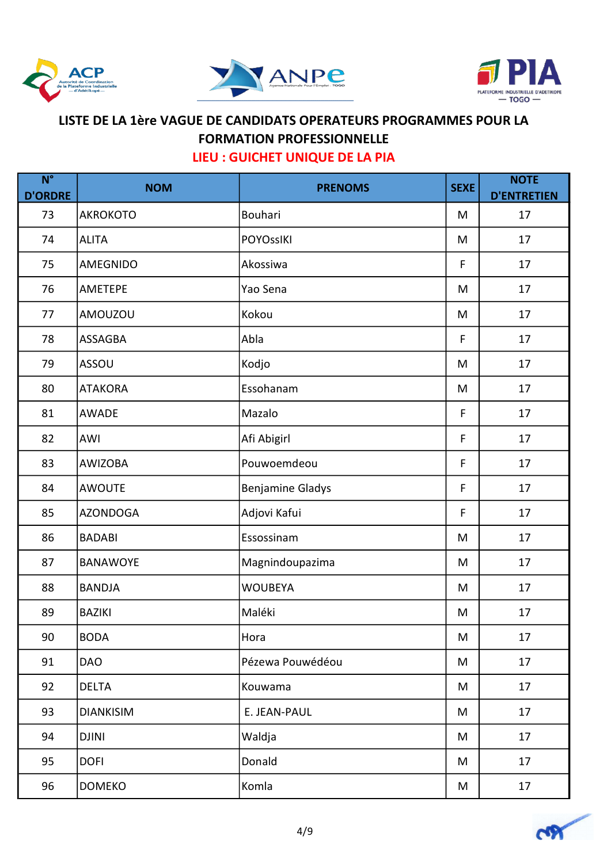





| $N^{\circ}$<br><b>D'ORDRE</b> | <b>NOM</b>       | <b>PRENOMS</b>          | <b>SEXE</b> | <b>NOTE</b><br><b>D'ENTRETIEN</b> |
|-------------------------------|------------------|-------------------------|-------------|-----------------------------------|
| 73                            | <b>AKROKOTO</b>  | Bouhari                 | M           | 17                                |
| 74                            | <b>ALITA</b>     | <b>POYOssIKI</b>        | M           | 17                                |
| 75                            | <b>AMEGNIDO</b>  | Akossiwa                | F           | 17                                |
| 76                            | <b>AMETEPE</b>   | Yao Sena                | M           | 17                                |
| 77                            | AMOUZOU          | Kokou                   | M           | 17                                |
| 78                            | <b>ASSAGBA</b>   | Abla                    | F           | 17                                |
| 79                            | <b>ASSOU</b>     | Kodjo                   | M           | 17                                |
| 80                            | <b>ATAKORA</b>   | Essohanam               | M           | 17                                |
| 81                            | <b>AWADE</b>     | Mazalo                  | $\mathsf F$ | 17                                |
| 82                            | <b>AWI</b>       | Afi Abigirl             | $\mathsf F$ | 17                                |
| 83                            | <b>AWIZOBA</b>   | Pouwoemdeou             | $\mathsf F$ | 17                                |
| 84                            | <b>AWOUTE</b>    | <b>Benjamine Gladys</b> | F           | 17                                |
| 85                            | <b>AZONDOGA</b>  | Adjovi Kafui            | F           | 17                                |
| 86                            | <b>BADABI</b>    | Essossinam              | M           | 17                                |
| 87                            | <b>BANAWOYE</b>  | Magnindoupazima         | M           | 17                                |
| 88                            | <b>BANDJA</b>    | <b>WOUBEYA</b>          | M           | 17                                |
| 89                            | <b>BAZIKI</b>    | Maléki                  | M           | 17                                |
| 90                            | <b>BODA</b>      | Hora                    | M           | $17\,$                            |
| 91                            | <b>DAO</b>       | Pézewa Pouwédéou        | M           | 17                                |
| 92                            | <b>DELTA</b>     | Kouwama                 | M           | 17                                |
| 93                            | <b>DIANKISIM</b> | E. JEAN-PAUL            | M           | 17                                |
| 94                            | <b>DJINI</b>     | Waldja                  | M           | 17                                |
| 95                            | <b>DOFI</b>      | Donald                  | M           | 17                                |
| 96                            | <b>DOMEKO</b>    | Komla                   | M           | 17                                |

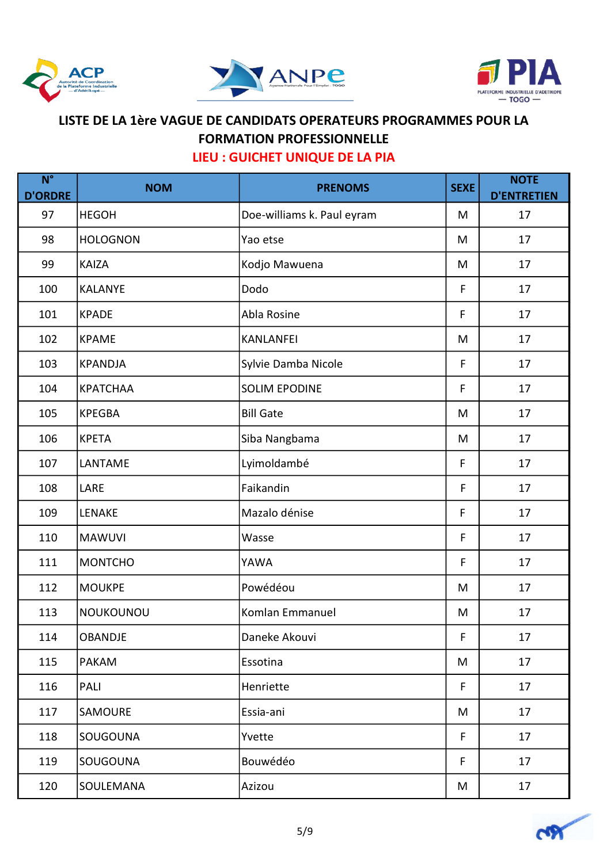





| $N^{\circ}$<br><b>D'ORDRE</b> | <b>NOM</b>       | <b>PRENOMS</b>             | <b>SEXE</b> | <b>NOTE</b><br><b>D'ENTRETIEN</b> |
|-------------------------------|------------------|----------------------------|-------------|-----------------------------------|
| 97                            | <b>HEGOH</b>     | Doe-williams k. Paul eyram | M           | 17                                |
| 98                            | <b>HOLOGNON</b>  | Yao etse                   | M           | 17                                |
| 99                            | <b>KAIZA</b>     | Kodjo Mawuena              | M           | 17                                |
| 100                           | <b>KALANYE</b>   | Dodo                       | F           | 17                                |
| 101                           | <b>KPADE</b>     | Abla Rosine                | F           | 17                                |
| 102                           | <b>KPAME</b>     | <b>KANLANFEI</b>           | M           | 17                                |
| 103                           | <b>KPANDJA</b>   | Sylvie Damba Nicole        | F           | 17                                |
| 104                           | <b>KPATCHAA</b>  | <b>SOLIM EPODINE</b>       | F           | 17                                |
| 105                           | <b>KPEGBA</b>    | <b>Bill Gate</b>           | M           | 17                                |
| 106                           | <b>KPETA</b>     | Siba Nangbama              | M           | 17                                |
| 107                           | LANTAME          | Lyimoldambé                | F           | 17                                |
| 108                           | LARE             | Faikandin                  | F           | 17                                |
| 109                           | <b>LENAKE</b>    | Mazalo dénise              | F           | 17                                |
| 110                           | <b>MAWUVI</b>    | Wasse                      | $\mathsf F$ | 17                                |
| 111                           | <b>MONTCHO</b>   | YAWA                       | F           | 17                                |
| 112                           | <b>MOUKPE</b>    | Powédéou                   | M           | 17                                |
| 113                           | NOUKOUNOU        | Komlan Emmanuel            | M           | 17                                |
| 114                           | OBANDJE          | Daneke Akouvi              | F           | 17                                |
| 115                           | <b>PAKAM</b>     | Essotina                   | M           | 17                                |
| 116                           | PALI             | Henriette                  | F           | 17                                |
| 117                           | <b>SAMOURE</b>   | Essia-ani                  | M           | 17                                |
| 118                           | SOUGOUNA         | Yvette                     | F           | 17                                |
| 119                           | SOUGOUNA         | Bouwédéo                   | F           | 17                                |
| 120                           | <b>SOULEMANA</b> | Azizou                     | M           | 17                                |

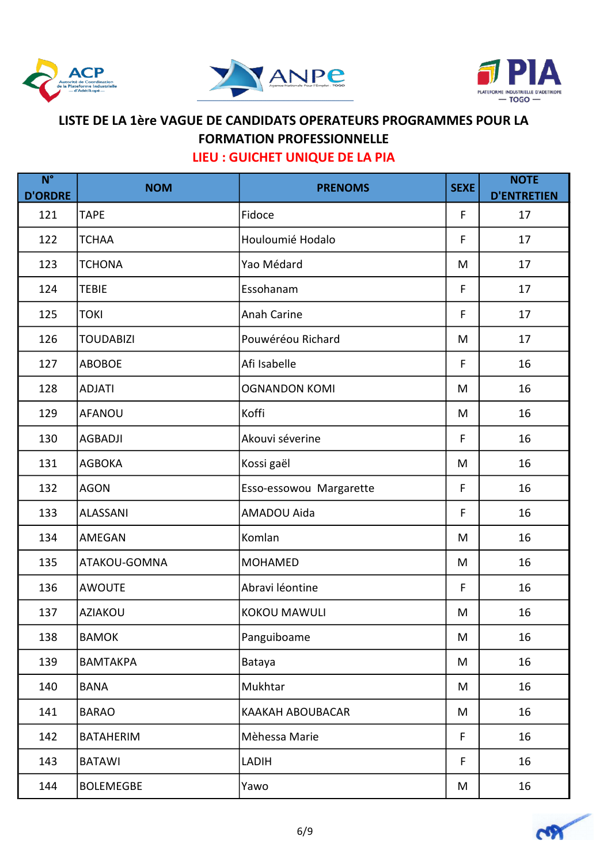





| $N^{\circ}$<br><b>D'ORDRE</b> | <b>NOM</b>       | <b>PRENOMS</b>          | <b>SEXE</b> | <b>NOTE</b><br><b>D'ENTRETIEN</b> |
|-------------------------------|------------------|-------------------------|-------------|-----------------------------------|
| 121                           | <b>TAPE</b>      | Fidoce                  | F           | 17                                |
| 122                           | <b>TCHAA</b>     | Houloumié Hodalo        | F           | 17                                |
| 123                           | <b>TCHONA</b>    | Yao Médard              | M           | 17                                |
| 124                           | <b>TEBIE</b>     | Essohanam               | F           | 17                                |
| 125                           | <b>TOKI</b>      | <b>Anah Carine</b>      | F           | 17                                |
| 126                           | <b>TOUDABIZI</b> | Pouwéréou Richard       | M           | 17                                |
| 127                           | <b>ABOBOE</b>    | Afi Isabelle            | F           | 16                                |
| 128                           | <b>ADJATI</b>    | <b>OGNANDON KOMI</b>    | M           | 16                                |
| 129                           | <b>AFANOU</b>    | Koffi                   | M           | 16                                |
| 130                           | <b>AGBADJI</b>   | Akouvi séverine         | F           | 16                                |
| 131                           | <b>AGBOKA</b>    | Kossi gaël              | M           | 16                                |
| 132                           | <b>AGON</b>      | Esso-essowou Margarette | F           | 16                                |
| 133                           | ALASSANI         | AMADOU Aida             | F           | 16                                |
| 134                           | AMEGAN           | Komlan                  | M           | 16                                |
| 135                           | ATAKOU-GOMNA     | <b>MOHAMED</b>          | M           | 16                                |
| 136                           | <b>AWOUTE</b>    | Abravi léontine         | F           | 16                                |
| 137                           | <b>AZIAKOU</b>   | <b>KOKOU MAWULI</b>     | M           | 16                                |
| 138                           | <b>BAMOK</b>     | Panguiboame             | M           | 16                                |
| 139                           | <b>BAMTAKPA</b>  | Bataya                  | M           | 16                                |
| 140                           | <b>BANA</b>      | <b>Mukhtar</b>          | M           | 16                                |
| 141                           | <b>BARAO</b>     | KAAKAH ABOUBACAR        | M           | 16                                |
| 142                           | <b>BATAHERIM</b> | Mèhessa Marie           | F.          | 16                                |
| 143                           | <b>BATAWI</b>    | LADIH                   | F           | 16                                |
| 144                           | <b>BOLEMEGBE</b> | Yawo                    | M           | 16                                |

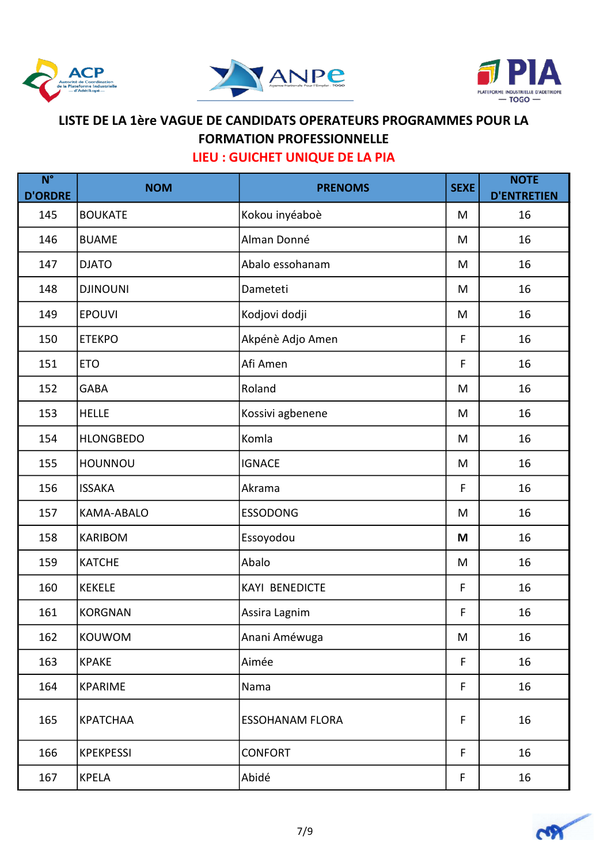





| $N^{\circ}$<br><b>D'ORDRE</b> | <b>NOM</b>        | <b>PRENOMS</b>         | <b>SEXE</b> | <b>NOTE</b><br><b>D'ENTRETIEN</b> |
|-------------------------------|-------------------|------------------------|-------------|-----------------------------------|
| 145                           | <b>BOUKATE</b>    | Kokou inyéaboè         | M           | 16                                |
| 146                           | <b>BUAME</b>      | Alman Donné            | M           | 16                                |
| 147                           | <b>DJATO</b>      | Abalo essohanam        | M           | 16                                |
| 148                           | <b>DJINOUNI</b>   | Dameteti               | M           | 16                                |
| 149                           | <b>EPOUVI</b>     | Kodjovi dodji          | M           | 16                                |
| 150                           | <b>ETEKPO</b>     | Akpénè Adjo Amen       | F           | 16                                |
| 151                           | <b>ETO</b>        | Afi Amen               | F           | 16                                |
| 152                           | <b>GABA</b>       | Roland                 | M           | 16                                |
| 153                           | <b>HELLE</b>      | Kossivi agbenene       | M           | 16                                |
| 154                           | <b>HLONGBEDO</b>  | Komla                  | M           | 16                                |
| 155                           | HOUNNOU           | <b>IGNACE</b>          | M           | 16                                |
| 156                           | <b>ISSAKA</b>     | Akrama                 | F           | 16                                |
| 157                           | <b>KAMA-ABALO</b> | <b>ESSODONG</b>        | M           | 16                                |
| 158                           | <b>KARIBOM</b>    | Essoyodou              | M           | 16                                |
| 159                           | <b>KATCHE</b>     | Abalo                  | M           | 16                                |
| 160                           | <b>KEKELE</b>     | <b>KAYI BENEDICTE</b>  | F           | 16                                |
| 161                           | <b>KORGNAN</b>    | Assira Lagnim          | F           | 16                                |
| 162                           | KOUWOM            | Anani Améwuga          | M           | 16                                |
| 163                           | <b>KPAKE</b>      | Aimée                  | F           | 16                                |
| 164                           | <b>KPARIME</b>    | Nama                   | F           | 16                                |
| 165                           | KPATCHAA          | <b>ESSOHANAM FLORA</b> | F           | 16                                |
| 166                           | <b>KPEKPESSI</b>  | <b>CONFORT</b>         | F           | 16                                |
| 167                           | <b>KPELA</b>      | Abidé                  | $\mathsf F$ | 16                                |

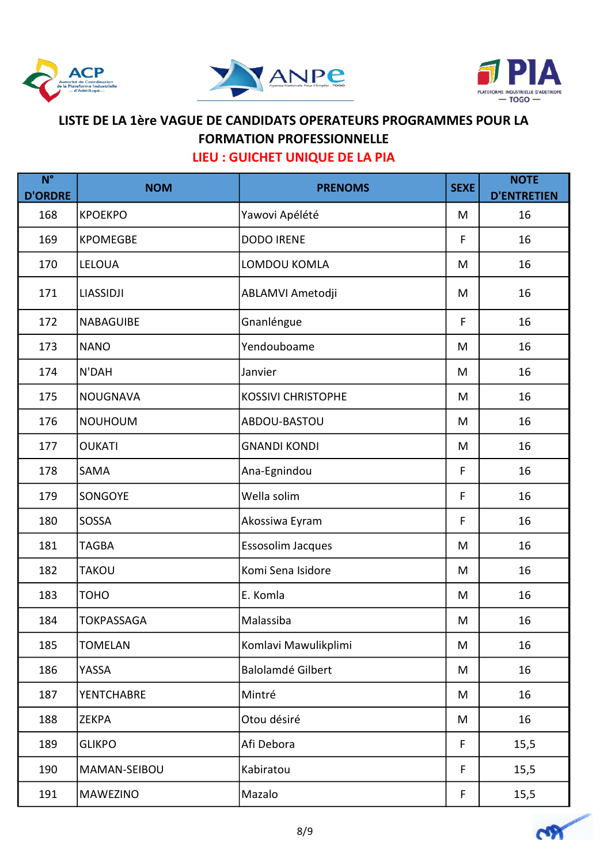





| $N^{\circ}$<br><b>D'ORDRE</b> | <b>NOM</b>        | <b>PRENOMS</b>            | <b>SEXE</b> | <b>NOTE</b><br><b>D'ENTRETIEN</b> |
|-------------------------------|-------------------|---------------------------|-------------|-----------------------------------|
| 168                           | <b>KPOEKPO</b>    | Yawovi Apélété            | M           | 16                                |
| 169                           | <b>KPOMEGBE</b>   | <b>DODO IRENE</b>         | F           | 16                                |
| 170                           | <b>LELOUA</b>     | LOMDOU KOMLA              | M           | 16                                |
| 171                           | <b>LIASSIDJI</b>  | ABLAMVI Ametodji          | M           | 16                                |
| 172                           | <b>NABAGUIBE</b>  | Gnanléngue                | F           | 16                                |
| 173                           | <b>NANO</b>       | Yendouboame               | M           | 16                                |
| 174                           | N'DAH             | Janvier                   | M           | 16                                |
| 175                           | NOUGNAVA          | <b>KOSSIVI CHRISTOPHE</b> | M           | 16                                |
| 176                           | <b>NOUHOUM</b>    | ABDOU-BASTOU              | M           | 16                                |
| 177                           | <b>OUKATI</b>     | <b>GNANDI KONDI</b>       | M           | 16                                |
| 178                           | <b>SAMA</b>       | Ana-Egnindou              | F           | 16                                |
| 179                           | <b>SONGOYE</b>    | Wella solim               | F           | 16                                |
| 180                           | SOSSA             | Akossiwa Eyram            | F           | 16                                |
| 181                           | <b>TAGBA</b>      | Essosolim Jacques         | M           | 16                                |
| 182                           | <b>TAKOU</b>      | Komi Sena Isidore         | M           | 16                                |
| 183                           | <b>TOHO</b>       | E. Komla                  | M           | 16                                |
| 184                           | <b>TOKPASSAGA</b> | Malassiba                 | M           | 16                                |
| 185                           | <b>TOMELAN</b>    | Komlavi Mawulikplimi      | M           | 16                                |
| 186                           | YASSA             | <b>Balolamdé Gilbert</b>  | M           | 16                                |
| 187                           | <b>YENTCHABRE</b> | Mintré                    | M           | 16                                |
| 188                           | <b>ZEKPA</b>      | Otou désiré               | M           | 16                                |
| 189                           | <b>GLIKPO</b>     | Afi Debora                | F           | 15,5                              |
| 190                           | MAMAN-SEIBOU      | Kabiratou                 | $\mathsf F$ | 15,5                              |
| 191                           | <b>MAWEZINO</b>   | Mazalo                    | F           | 15,5                              |